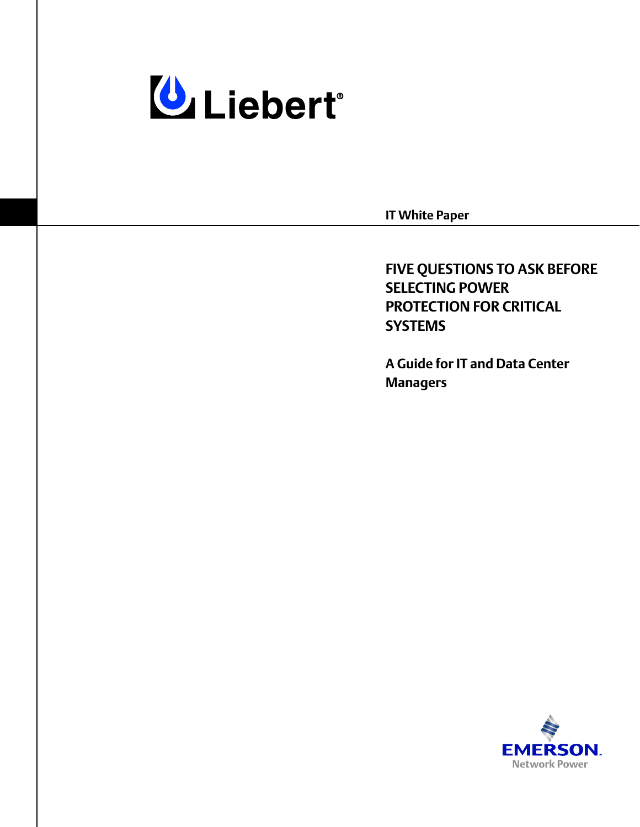

**IT White Paper**

**FIVE QUESTIONS TO ASK BEFORE SELECTING POWER PROTECTION FOR CRITICAL SYSTEMS**

**A Guide for IT and Data Center Managers**

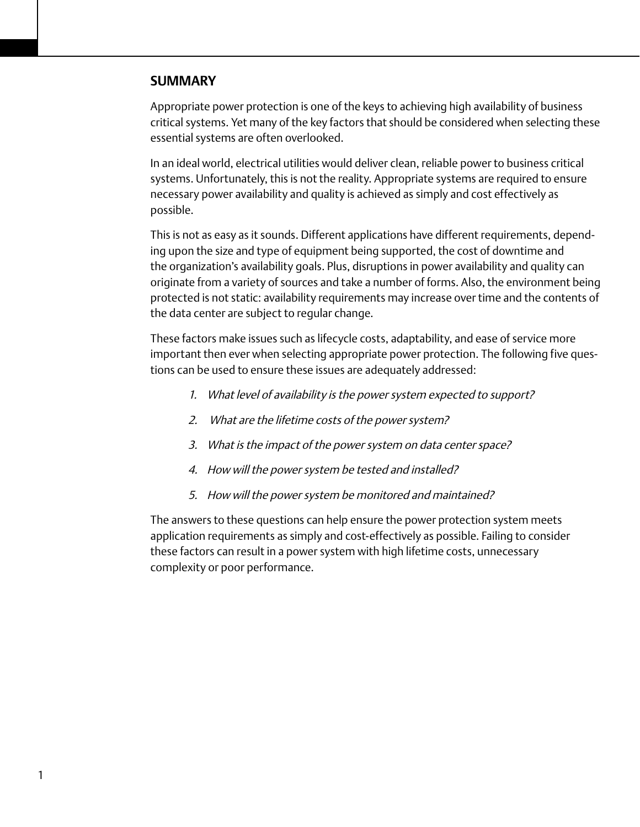## **SUMMARY**

Appropriate power protection is one of the keys to achieving high availability of business critical systems. Yet many of the key factors that should be considered when selecting these essential systems are often overlooked.

In an ideal world, electrical utilities would deliver clean, reliable power to business critical systems. Unfortunately, this is not the reality. Appropriate systems are required to ensure necessary power availability and quality is achieved as simply and cost effectively as possible.

This is not as easy as it sounds. Different applications have different requirements, depending upon the size and type of equipment being supported, the cost of downtime and the organization's availability goals. Plus, disruptions in power availability and quality can originate from a variety of sources and take a number of forms. Also, the environment being protected is not static: availability requirements may increase over time and the contents of the data center are subject to regular change.

These factors make issues such as lifecycle costs, adaptability, and ease of service more important then ever when selecting appropriate power protection. The following five questions can be used to ensure these issues are adequately addressed:

- 1. What level of availability is the power system expected to support?
- 2. What are the lifetime costs of the power system?
- 3. What is the impact of the power system on data center space?
- 4. How will the power system be tested and installed?
- 5. How will the power system be monitored and maintained?

The answers to these questions can help ensure the power protection system meets application requirements as simply and cost-effectively as possible. Failing to consider these factors can result in a power system with high lifetime costs, unnecessary complexity or poor performance.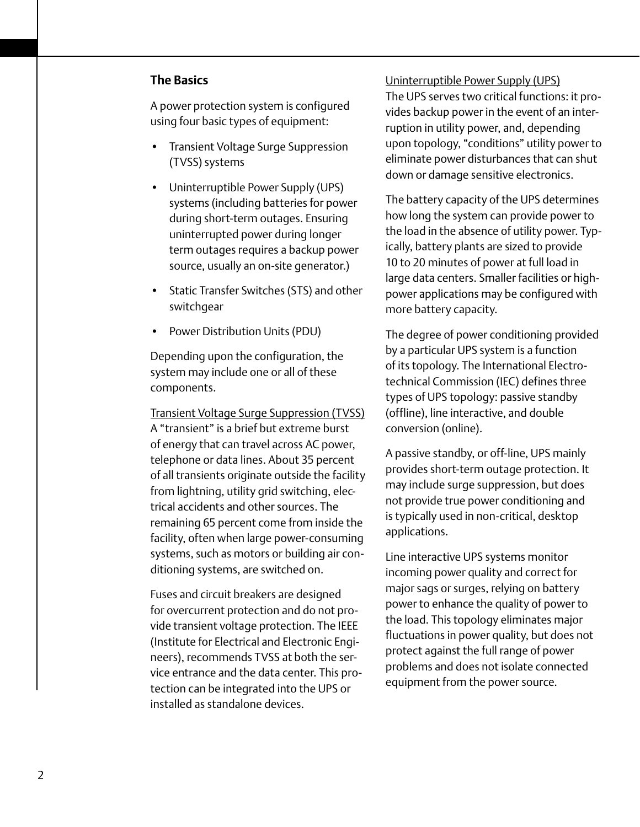## **The Basics**

A power protection system is configured using four basic types of equipment: • Transient Voltage Surge Suppression

- (TVSS) systems
- Uninterruptible Power Supply (UPS) systems (including batteries for power during short-term outages. Ensuring uninterrupted power during longer term outages requires a backup power source, usually an on-site generator.)
- Static Transfer Switches (STS) and other switchgear
- Power Distribution Units (PDU)

Depending upon the configuration, the system may include one or all of these components.

Transient Voltage Surge Suppression (TVSS) A "transient" is a brief but extreme burst of energy that can travel across AC power, telephone or data lines. About 35 percent of all transients originate outside the facility from lightning, utility grid switching, electrical accidents and other sources. The remaining 65 percent come from inside the facility, often when large power-consuming systems, such as motors or building air conditioning systems, are switched on.

Fuses and circuit breakers are designed for overcurrent protection and do not provide transient voltage protection. The IEEE (Institute for Electrical and Electronic Engineers), recommends TVSS at both the service entrance and the data center. This protection can be integrated into the UPS or installed as standalone devices.

## Uninterruptible Power Supply (UPS)

The UPS serves two critical functions: it provides backup power in the event of an interruption in utility power, and, depending upon topology, "conditions" utility power to eliminate power disturbances that can shut down or damage sensitive electronics.

The battery capacity of the UPS determines how long the system can provide power to the load in the absence of utility power. Typically, battery plants are sized to provide 10 to 20 minutes of power at full load in large data centers. Smaller facilities or highpower applications may be configured with more battery capacity.

The degree of power conditioning provided by a particular UPS system is a function of its topology. The International Electrotechnical Commission (IEC) defines three types of UPS topology: passive standby (offline), line interactive, and double conversion (online).

A passive standby, or off-line, UPS mainly provides short-term outage protection. It may include surge suppression, but does not provide true power conditioning and is typically used in non-critical, desktop applications.

Line interactive UPS systems monitor incoming power quality and correct for major sags or surges, relying on battery power to enhance the quality of power to the load. This topology eliminates major fluctuations in power quality, but does not protect against the full range of power problems and does not isolate connected equipment from the power source.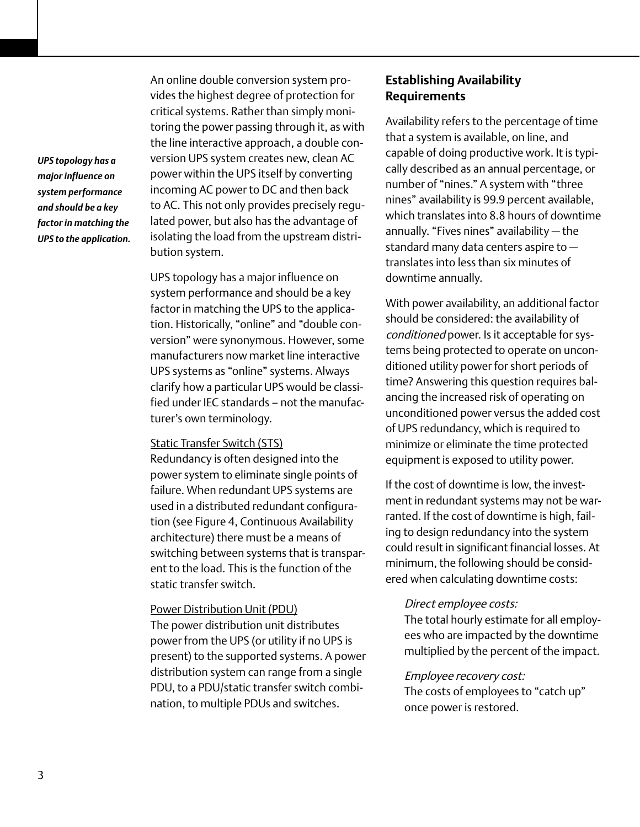*UPS topology has a major influence on system performance and should be a key factor in matching the UPS to the application.* An online double conversion system provides the highest degree of protection for critical systems. Rather than simply monitoring the power passing through it, as with the line interactive approach, a double conversion UPS system creates new, clean AC power within the UPS itself by converting incoming AC power to DC and then back to AC. This not only provides precisely regulated power, but also has the advantage of isolating the load from the upstream distribution system.

UPS topology has a major influence on system performance and should be a key factor in matching the UPS to the application. Historically, "online" and "double conversion" were synonymous. However, some manufacturers now market line interactive UPS systems as "online" systems. Always clarify how a particular UPS would be classified under IEC standards – not the manufacturer's own terminology.

#### Static Transfer Switch (STS)

Redundancy is often designed into the power system to eliminate single points of failure. When redundant UPS systems are used in a distributed redundant configuration (see Figure 4, Continuous Availability architecture) there must be a means of switching between systems that is transparent to the load. This is the function of the static transfer switch.

### Power Distribution Unit (PDU)

The power distribution unit distributes power from the UPS (or utility if no UPS is present) to the supported systems. A power distribution system can range from a single PDU, to a PDU/static transfer switch combination, to multiple PDUs and switches.

## **Establishing Availability Requirements**

Availability refers to the percentage of time that a system is available, on line, and capable of doing productive work. It is typically described as an annual percentage, or number of "nines." A system with "three nines" availability is 99.9 percent available, which translates into 8.8 hours of downtime annually. "Fives nines" availability — the standard many data centers aspire to translates into less than six minutes of downtime annually.

With power availability, an additional factor should be considered: the availability of conditioned power. Is it acceptable for systems being protected to operate on unconditioned utility power for short periods of time? Answering this question requires balancing the increased risk of operating on unconditioned power versus the added cost of UPS redundancy, which is required to minimize or eliminate the time protected equipment is exposed to utility power.

If the cost of downtime is low, the investment in redundant systems may not be warranted. If the cost of downtime is high, failing to design redundancy into the system could result in significant financial losses. At minimum, the following should be considered when calculating downtime costs:

#### Direct employee costs:

The total hourly estimate for all employees who are impacted by the downtime multiplied by the percent of the impact.

#### Employee recovery cost:

The costs of employees to "catch up" once power is restored.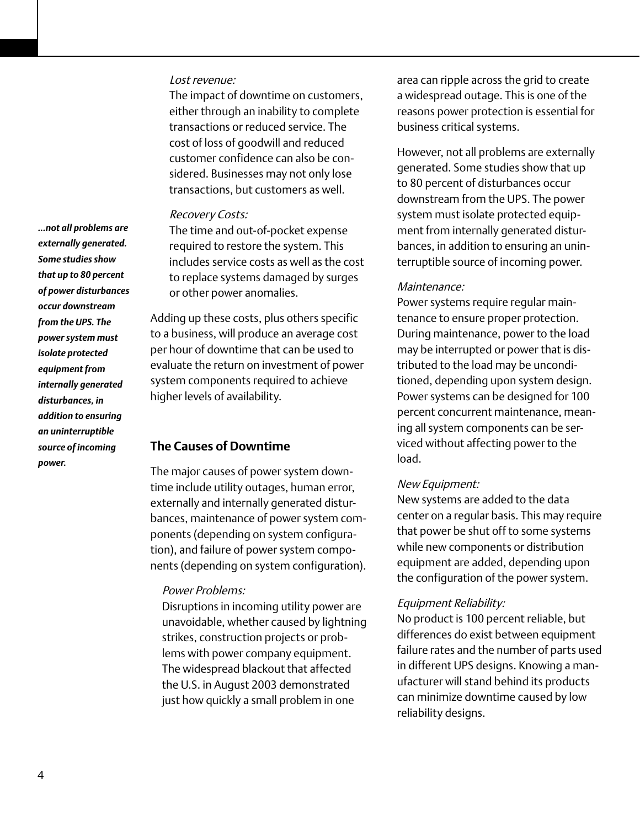### Lost revenue:

The impact of downtime on customers, either through an inability to complete transactions or reduced service. The cost of loss of goodwill and reduced customer confidence can also be considered. Businesses may not only lose transactions, but customers as well.

#### Recovery Costs:

The time and out-of-pocket expense required to restore the system. This includes service costs as well as the cost to replace systems damaged by surges or other power anomalies.

Adding up these costs, plus others specific to a business, will produce an average cost per hour of downtime that can be used to evaluate the return on investment of power system components required to achieve higher levels of availability.

## **The Causes of Downtime**

The major causes of power system downtime include utility outages, human error, externally and internally generated disturbances, maintenance of power system components (depending on system configuration), and failure of power system components (depending on system configuration).

#### Power Problems:

Disruptions in incoming utility power are unavoidable, whether caused by lightning strikes, construction projects or problems with power company equipment. The widespread blackout that affected the U.S. in August 2003 demonstrated just how quickly a small problem in one

area can ripple across the grid to create a widespread outage. This is one of the reasons power protection is essential for business critical systems.

However, not all problems are externally generated. Some studies show that up to 80 percent of disturbances occur downstream from the UPS. The power system must isolate protected equipment from internally generated disturbances, in addition to ensuring an uninterruptible source of incoming power.

#### Maintenance:

Power systems require regular maintenance to ensure proper protection. During maintenance, power to the load may be interrupted or power that is distributed to the load may be unconditioned, depending upon system design. Power systems can be designed for 100 percent concurrent maintenance, meaning all system components can be serviced without affecting power to the load.

#### New Equipment:

New systems are added to the data center on a regular basis. This may require that power be shut off to some systems while new components or distribution equipment are added, depending upon the configuration of the power system.

#### Equipment Reliability:

No product is 100 percent reliable, but differences do exist between equipment failure rates and the number of parts used in different UPS designs. Knowing a manufacturer will stand behind its products can minimize downtime caused by low reliability designs.

*…not all problems are externally generated. Some studies show that up to 80 percent of power disturbances occur downstream from the UPS. The power system must isolate protected equipment from internally generated disturbances, in addition to ensuring an uninterruptible source of incoming power.*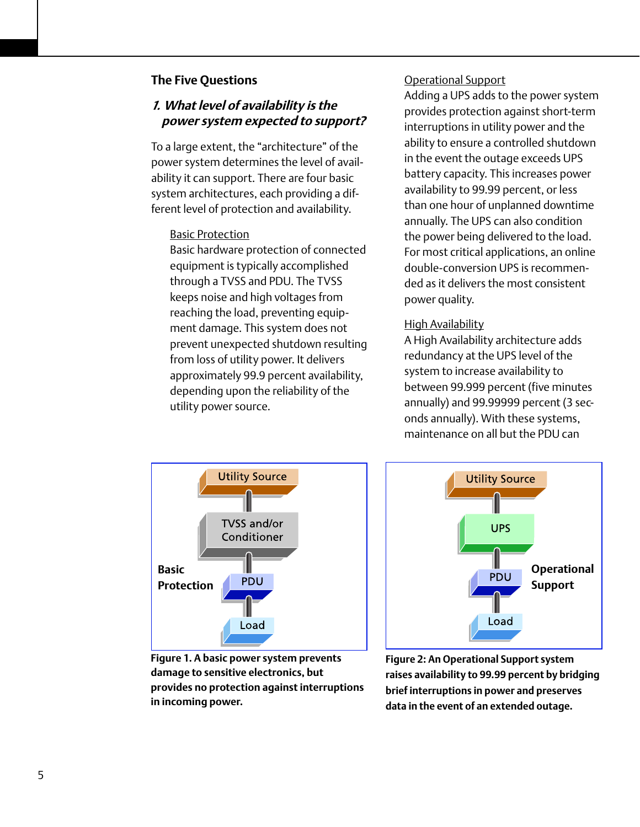## **The Five Questions**

# *1.* **What level of availability is the power system expected to support?**

To a large extent, the "architecture" of the power system determines the level of availability it can support. There are four basic system architectures, each providing a different level of protection and availability.

## Basic Protection

Basic hardware protection of connected equipment is typically accomplished through a TVSS and PDU. The TVSS keeps noise and high voltages from reaching the load, preventing equipment damage. This system does not prevent unexpected shutdown resulting from loss of utility power. It delivers approximately 99.9 percent availability, depending upon the reliability of the utility power source.

## Operational Support

Adding a UPS adds to the power system provides protection against short-term interruptions in utility power and the ability to ensure a controlled shutdown in the event the outage exceeds UPS battery capacity. This increases power availability to 99.99 percent, or less than one hour of unplanned downtime annually. The UPS can also condition the power being delivered to the load. For most critical applications, an online double-conversion UPS is recommended as it delivers the most consistent power quality.

## High Availability

A High Availability architecture adds redundancy at the UPS level of the system to increase availability to between 99.999 percent (five minutes annually) and 99.99999 percent (3 seconds annually). With these systems, maintenance on all but the PDU can



**Figure 1. A basic power system prevents damage to sensitive electronics, but provides no protection against interruptions in incoming power.**



**Figure 2: An Operational Support system raises availability to 99.99 percent by bridging brief interruptions in power and preserves data in the event of an extended outage.**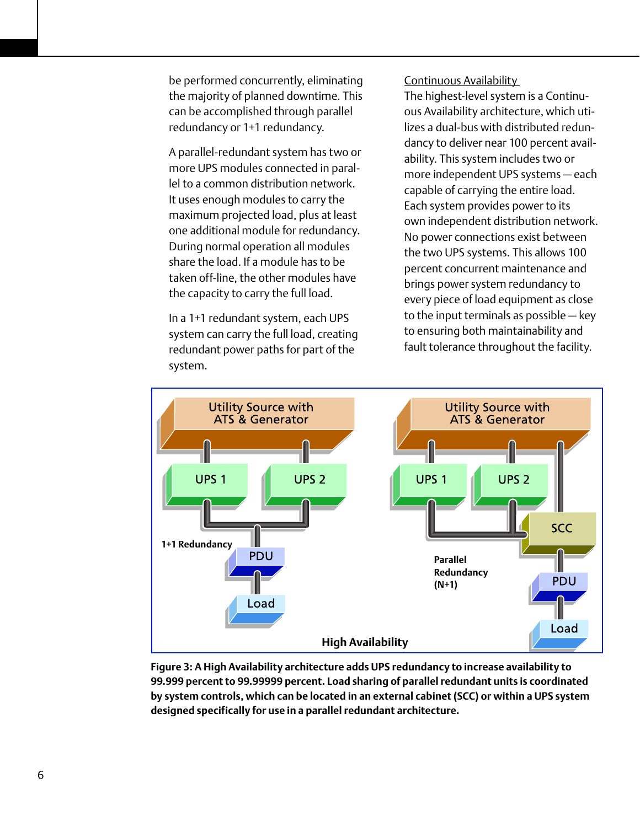be performed concurrently, eliminating the majority of planned downtime. This can be accomplished through parallel redundancy or 1+1 redundancy.

A parallel-redundant system has two or more UPS modules connected in parallel to a common distribution network. It uses enough modules to carry the maximum projected load, plus at least one additional module for redundancy. During normal operation all modules share the load. If a module has to be taken off-line, the other modules have the capacity to carry the full load.

In a 1+1 redundant system, each UPS system can carry the full load, creating redundant power paths for part of the system.

## Continuous Availability

The highest-level system is a Continuous Availability architecture, which utilizes a dual-bus with distributed redundancy to deliver near 100 percent availability. This system includes two or more independent UPS systems — each capable of carrying the entire load. Each system provides power to its own independent distribution network. No power connections exist between the two UPS systems. This allows 100 percent concurrent maintenance and brings power system redundancy to every piece of load equipment as close to the input terminals as possible — key to ensuring both maintainability and fault tolerance throughout the facility.



**Figure 3: A High Availability architecture adds UPS redundancy to increase availability to 99.999 percent to 99.99999 percent. Load sharing of parallel redundant units is coordinated by system controls, which can be located in an external cabinet (SCC) or within a UPS system designed specifically for use in a parallel redundant architecture.**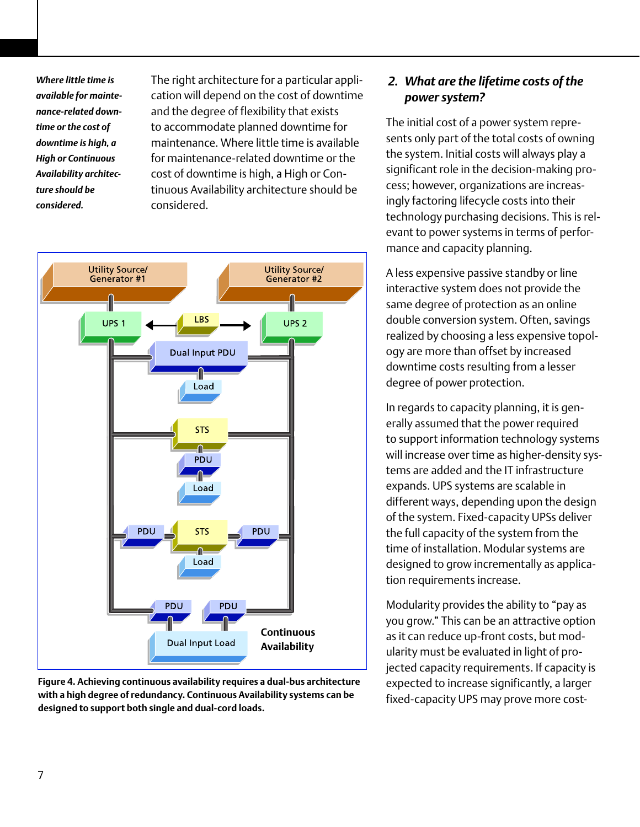*Where little time is available for maintenance-related downtime or the cost of downtime is high, a High or Continuous Availability architecture should be considered.* 

The right architecture for a particular application will depend on the cost of downtime and the degree of flexibility that exists to accommodate planned downtime for maintenance. Where little time is available for maintenance-related downtime or the cost of downtime is high, a High or Continuous Availability architecture should be considered.



**Figure 4. Achieving continuous availability requires a dual-bus architecture with a high degree of redundancy. Continuous Availability systems can be designed to support both single and dual-cord loads.** 

# *2. What are the lifetime costs of the power system?*

The initial cost of a power system represents only part of the total costs of owning the system. Initial costs will always play a significant role in the decision-making process; however, organizations are increasingly factoring lifecycle costs into their technology purchasing decisions. This is relevant to power systems in terms of performance and capacity planning.

A less expensive passive standby or line interactive system does not provide the same degree of protection as an online double conversion system. Often, savings realized by choosing a less expensive topology are more than offset by increased downtime costs resulting from a lesser degree of power protection.

In regards to capacity planning, it is generally assumed that the power required to support information technology systems will increase over time as higher-density systems are added and the IT infrastructure expands. UPS systems are scalable in different ways, depending upon the design of the system. Fixed-capacity UPSs deliver the full capacity of the system from the time of installation. Modular systems are designed to grow incrementally as application requirements increase.

Modularity provides the ability to "pay as you grow." This can be an attractive option as it can reduce up-front costs, but modularity must be evaluated in light of projected capacity requirements. If capacity is expected to increase significantly, a larger fixed-capacity UPS may prove more cost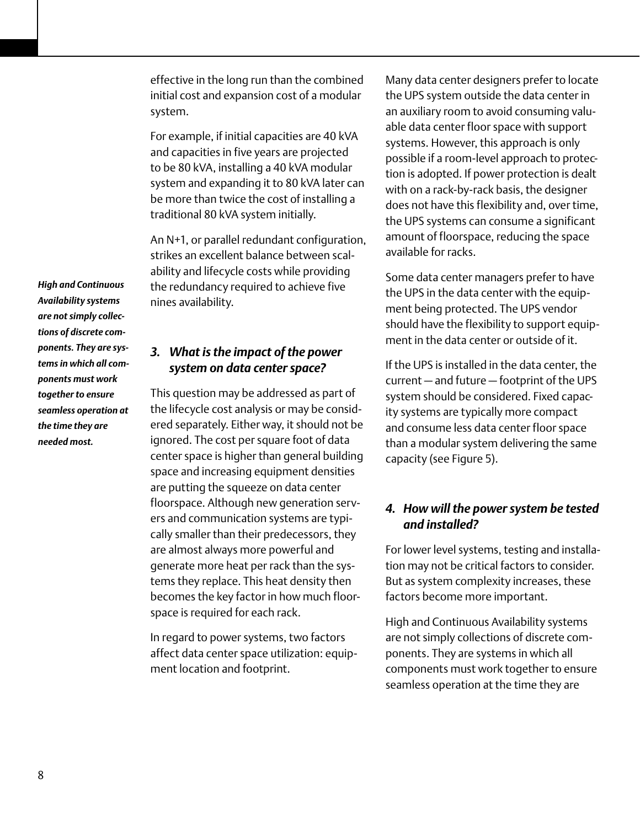effective in the long run than the combined initial cost and expansion cost of a modular system.

For example, if initial capacities are 40 kVA and capacities in five years are projected to be 80 kVA, installing a 40 kVA modular system and expanding it to 80 kVA later can be more than twice the cost of installing a traditional 80 kVA system initially.

An N+1, or parallel redundant configuration, strikes an excellent balance between scalability and lifecycle costs while providing the redundancy required to achieve five nines availability.

# *3. What is the impact of the power system on data center space?*

This question may be addressed as part of the lifecycle cost analysis or may be considered separately. Either way, it should not be ignored. The cost per square foot of data center space is higher than general building space and increasing equipment densities are putting the squeeze on data center floorspace. Although new generation servers and communication systems are typically smaller than their predecessors, they are almost always more powerful and generate more heat per rack than the systems they replace. This heat density then becomes the key factor in how much floorspace is required for each rack.

In regard to power systems, two factors affect data center space utilization: equipment location and footprint.

Many data center designers prefer to locate the UPS system outside the data center in an auxiliary room to avoid consuming valuable data center floor space with support systems. However, this approach is only possible if a room-level approach to protection is adopted. If power protection is dealt with on a rack-by-rack basis, the designer does not have this flexibility and, over time, the UPS systems can consume a significant amount of floorspace, reducing the space available for racks.

Some data center managers prefer to have the UPS in the data center with the equipment being protected. The UPS vendor should have the flexibility to support equipment in the data center or outside of it.

If the UPS is installed in the data center, the current — and future — footprint of the UPS system should be considered. Fixed capacity systems are typically more compact and consume less data center floor space than a modular system delivering the same capacity (see Figure 5).

# *4. How will the power system be tested and installed?*

For lower level systems, testing and installation may not be critical factors to consider. But as system complexity increases, these factors become more important.

High and Continuous Availability systems are not simply collections of discrete components. They are systems in which all components must work together to ensure seamless operation at the time they are

*High and Continuous Availability systems are not simply collections of discrete components. They are systems in which all components must work together to ensure seamless operation at the time they are needed most.*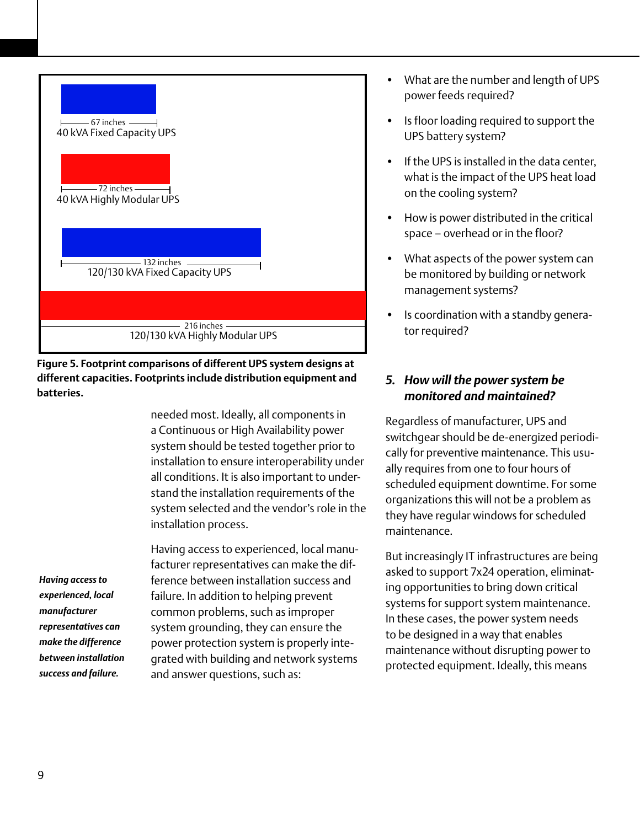

**Figure 5. Footprint comparisons of different UPS system designs at different capacities. Footprints include distribution equipment and batteries.** 

> needed most. Ideally, all components in a Continuous or High Availability power system should be tested together prior to installation to ensure interoperability under all conditions. It is also important to understand the installation requirements of the system selected and the vendor's role in the installation process.

*Having access to experienced, local manufacturer representatives can make the difference between installation success and failure.* 

Having access to experienced, local manufacturer representatives can make the difference between installation success and failure. In addition to helping prevent common problems, such as improper system grounding, they can ensure the power protection system is properly integrated with building and network systems and answer questions, such as:

- What are the number and length of UPS power feeds required?
- Is floor loading required to support the UPS battery system?
- If the UPS is installed in the data center, what is the impact of the UPS heat load on the cooling system?
- How is power distributed in the critical space – overhead or in the floor?
- What aspects of the power system can be monitored by building or network management systems?
- Is coordination with a standby generator required?

# *5. How will the power system be monitored and maintained?*

Regardless of manufacturer, UPS and switchgear should be de-energized periodically for preventive maintenance. This usually requires from one to four hours of scheduled equipment downtime. For some organizations this will not be a problem as they have regular windows for scheduled maintenance.

But increasingly IT infrastructures are being asked to support 7x24 operation, eliminating opportunities to bring down critical systems for support system maintenance. In these cases, the power system needs to be designed in a way that enables maintenance without disrupting power to protected equipment. Ideally, this means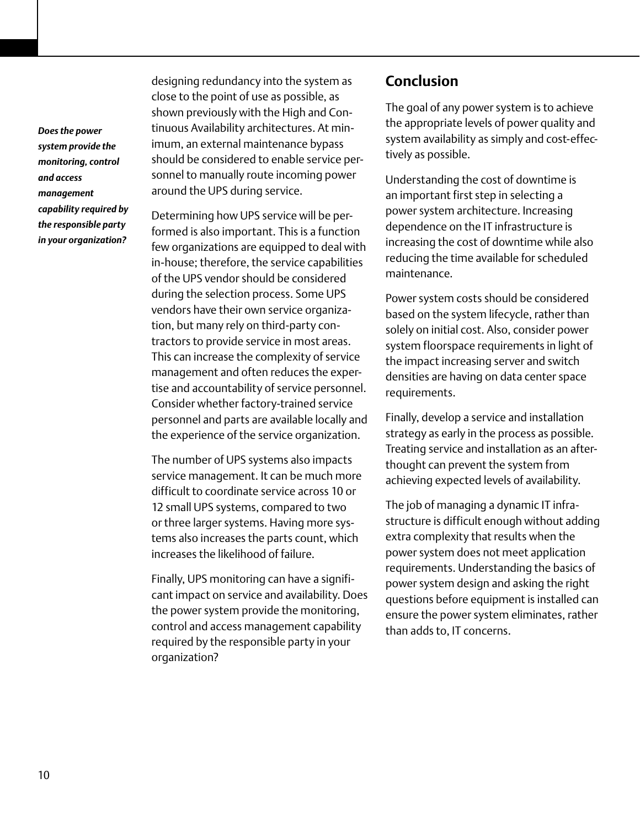*Does the power system provide the monitoring, control and access management capability required by the responsible party in your organization?*

designing redundancy into the system as close to the point of use as possible, as shown previously with the High and Continuous Availability architectures. At minimum, an external maintenance bypass should be considered to enable service personnel to manually route incoming power around the UPS during service.

Determining how UPS service will be performed is also important. This is a function few organizations are equipped to deal with in-house; therefore, the service capabilities of the UPS vendor should be considered during the selection process. Some UPS vendors have their own service organization, but many rely on third-party contractors to provide service in most areas. This can increase the complexity of service management and often reduces the expertise and accountability of service personnel. Consider whether factory-trained service personnel and parts are available locally and the experience of the service organization.

The number of UPS systems also impacts service management. It can be much more difficult to coordinate service across 10 or 12 small UPS systems, compared to two or three larger systems. Having more systems also increases the parts count, which increases the likelihood of failure.

Finally, UPS monitoring can have a significant impact on service and availability. Does the power system provide the monitoring, control and access management capability required by the responsible party in your organization?

# **Conclusion**

The goal of any power system is to achieve the appropriate levels of power quality and system availability as simply and cost-effectively as possible.

Understanding the cost of downtime is an important first step in selecting a power system architecture. Increasing dependence on the IT infrastructure is increasing the cost of downtime while also reducing the time available for scheduled maintenance.

Power system costs should be considered based on the system lifecycle, rather than solely on initial cost. Also, consider power system floorspace requirements in light of the impact increasing server and switch densities are having on data center space requirements.

Finally, develop a service and installation strategy as early in the process as possible. Treating service and installation as an afterthought can prevent the system from achieving expected levels of availability.

The job of managing a dynamic IT infrastructure is difficult enough without adding extra complexity that results when the power system does not meet application requirements. Understanding the basics of power system design and asking the right questions before equipment is installed can ensure the power system eliminates, rather than adds to, IT concerns.